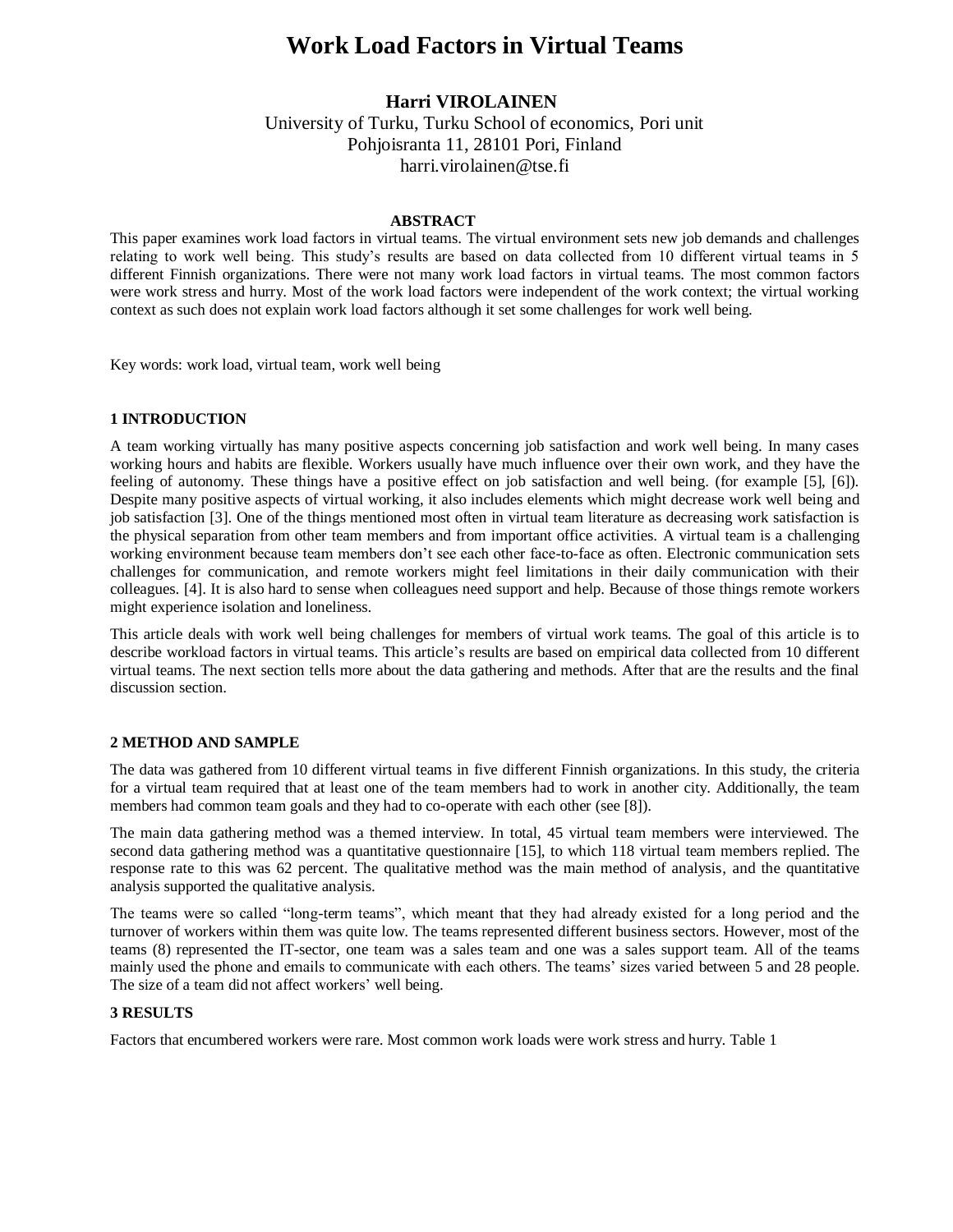# **Work Load Factors in Virtual Teams**

## **Harri VIROLAINEN**

University of Turku, Turku School of economics, Pori unit Pohjoisranta 11, 28101 Pori, Finland harri.virolainen@tse.fi

#### **ABSTRACT**

This paper examines work load factors in virtual teams. The virtual environment sets new job demands and challenges relating to work well being. This study's results are based on data collected from 10 different virtual teams in 5 different Finnish organizations. There were not many work load factors in virtual teams. The most common factors were work stress and hurry. Most of the work load factors were independent of the work context; the virtual working context as such does not explain work load factors although it set some challenges for work well being.

Key words: work load, virtual team, work well being

#### **1 INTRODUCTION**

A team working virtually has many positive aspects concerning job satisfaction and work well being. In many cases working hours and habits are flexible. Workers usually have much influence over their own work, and they have the feeling of autonomy. These things have a positive effect on job satisfaction and well being. (for example [5], [6]). Despite many positive aspects of virtual working, it also includes elements which might decrease work well being and job satisfaction [3]. One of the things mentioned most often in virtual team literature as decreasing work satisfaction is the physical separation from other team members and from important office activities. A virtual team is a challenging working environment because team members don't see each other face-to-face as often. Electronic communication sets challenges for communication, and remote workers might feel limitations in their daily communication with their colleagues. [4]. It is also hard to sense when colleagues need support and help. Because of those things remote workers might experience isolation and loneliness.

This article deals with work well being challenges for members of virtual work teams. The goal of this article is to describe workload factors in virtual teams. This article's results are based on empirical data collected from 10 different virtual teams. The next section tells more about the data gathering and methods. After that are the results and the final discussion section.

#### **2 METHOD AND SAMPLE**

The data was gathered from 10 different virtual teams in five different Finnish organizations. In this study, the criteria for a virtual team required that at least one of the team members had to work in another city. Additionally, the team members had common team goals and they had to co-operate with each other (see [8]).

The main data gathering method was a themed interview. In total, 45 virtual team members were interviewed. The second data gathering method was a quantitative questionnaire [15], to which 118 virtual team members replied. The response rate to this was 62 percent. The qualitative method was the main method of analysis, and the quantitative analysis supported the qualitative analysis.

The teams were so called "long-term teams", which meant that they had already existed for a long period and the turnover of workers within them was quite low. The teams represented different business sectors. However, most of the teams (8) represented the IT-sector, one team was a sales team and one was a sales support team. All of the teams mainly used the phone and emails to communicate with each others. The teams' sizes varied between 5 and 28 people. The size of a team did not affect workers' well being.

### **3 RESULTS**

Factors that encumbered workers were rare. Most common work loads were work stress and hurry. Table 1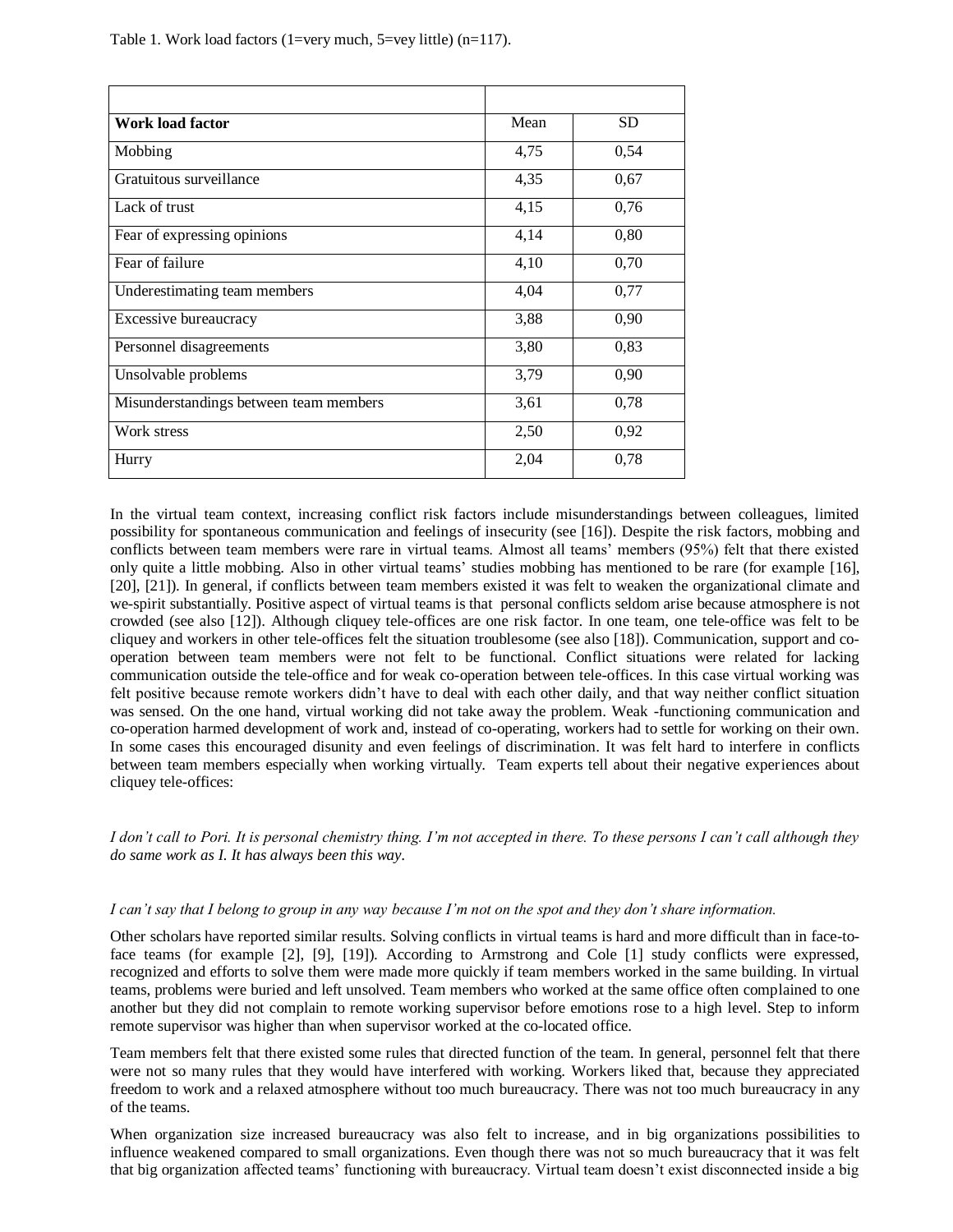| Work load factor                       | Mean | <b>SD</b> |
|----------------------------------------|------|-----------|
| Mobbing                                | 4,75 | 0,54      |
| Gratuitous surveillance                | 4,35 | 0,67      |
| Lack of trust                          | 4,15 | 0,76      |
| Fear of expressing opinions            | 4,14 | 0,80      |
| Fear of failure                        | 4,10 | 0,70      |
| Underestimating team members           | 4,04 | 0,77      |
| Excessive bureaucracy                  | 3,88 | 0,90      |
| Personnel disagreements                | 3,80 | 0,83      |
| Unsolvable problems                    | 3,79 | 0,90      |
| Misunderstandings between team members | 3,61 | 0,78      |
| Work stress                            | 2,50 | 0,92      |
| Hurry                                  | 2,04 | 0,78      |

In the virtual team context, increasing conflict risk factors include misunderstandings between colleagues, limited possibility for spontaneous communication and feelings of insecurity (see [16]). Despite the risk factors, mobbing and conflicts between team members were rare in virtual teams. Almost all teams' members (95%) felt that there existed only quite a little mobbing. Also in other virtual teams' studies mobbing has mentioned to be rare (for example [16], [20], [21]). In general, if conflicts between team members existed it was felt to weaken the organizational climate and we-spirit substantially. Positive aspect of virtual teams is that personal conflicts seldom arise because atmosphere is not crowded (see also [12]). Although cliquey tele-offices are one risk factor. In one team, one tele-office was felt to be cliquey and workers in other tele-offices felt the situation troublesome (see also [18]). Communication, support and cooperation between team members were not felt to be functional. Conflict situations were related for lacking communication outside the tele-office and for weak co-operation between tele-offices. In this case virtual working was felt positive because remote workers didn't have to deal with each other daily, and that way neither conflict situation was sensed. On the one hand, virtual working did not take away the problem. Weak -functioning communication and co-operation harmed development of work and, instead of co-operating, workers had to settle for working on their own. In some cases this encouraged disunity and even feelings of discrimination. It was felt hard to interfere in conflicts between team members especially when working virtually. Team experts tell about their negative experiences about cliquey tele-offices:

*I don't call to Pori. It is personal chemistry thing. I'm not accepted in there. To these persons I can't call although they do same work as I. It has always been this way.* 

#### *I can't say that I belong to group in any way because I'm not on the spot and they don't share information.*

Other scholars have reported similar results. Solving conflicts in virtual teams is hard and more difficult than in face-toface teams (for example [2], [9], [19]). According to Armstrong and Cole [1] study conflicts were expressed, recognized and efforts to solve them were made more quickly if team members worked in the same building. In virtual teams, problems were buried and left unsolved. Team members who worked at the same office often complained to one another but they did not complain to remote working supervisor before emotions rose to a high level. Step to inform remote supervisor was higher than when supervisor worked at the co-located office.

Team members felt that there existed some rules that directed function of the team. In general, personnel felt that there were not so many rules that they would have interfered with working. Workers liked that, because they appreciated freedom to work and a relaxed atmosphere without too much bureaucracy. There was not too much bureaucracy in any of the teams.

When organization size increased bureaucracy was also felt to increase, and in big organizations possibilities to influence weakened compared to small organizations. Even though there was not so much bureaucracy that it was felt that big organization affected teams' functioning with bureaucracy. Virtual team doesn't exist disconnected inside a big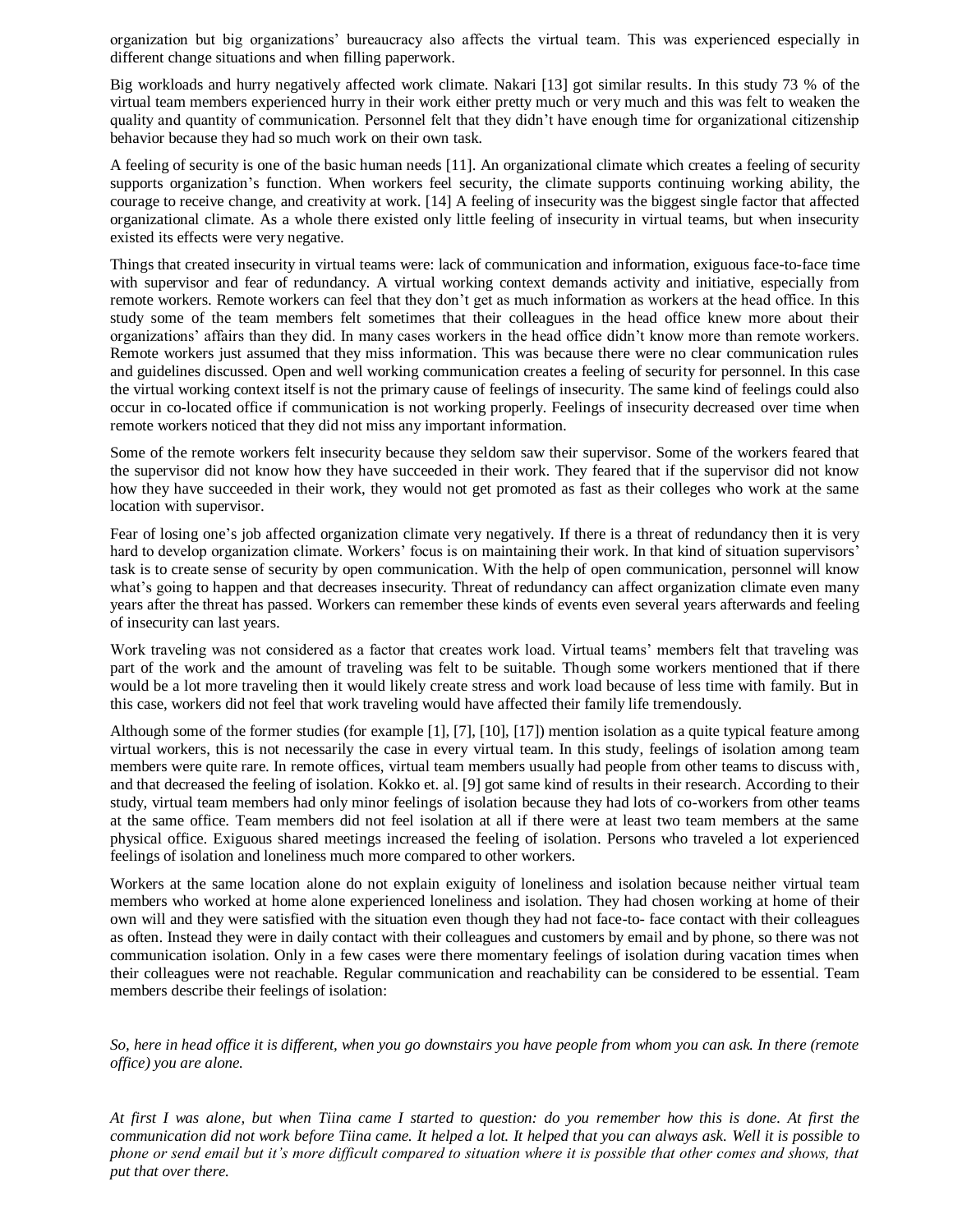organization but big organizations' bureaucracy also affects the virtual team. This was experienced especially in different change situations and when filling paperwork.

Big workloads and hurry negatively affected work climate. Nakari [13] got similar results. In this study 73 % of the virtual team members experienced hurry in their work either pretty much or very much and this was felt to weaken the quality and quantity of communication. Personnel felt that they didn't have enough time for organizational citizenship behavior because they had so much work on their own task.

A feeling of security is one of the basic human needs [11]. An organizational climate which creates a feeling of security supports organization's function. When workers feel security, the climate supports continuing working ability, the courage to receive change, and creativity at work. [14] A feeling of insecurity was the biggest single factor that affected organizational climate. As a whole there existed only little feeling of insecurity in virtual teams, but when insecurity existed its effects were very negative.

Things that created insecurity in virtual teams were: lack of communication and information, exiguous face-to-face time with supervisor and fear of redundancy. A virtual working context demands activity and initiative, especially from remote workers. Remote workers can feel that they don't get as much information as workers at the head office. In this study some of the team members felt sometimes that their colleagues in the head office knew more about their organizations' affairs than they did. In many cases workers in the head office didn't know more than remote workers. Remote workers just assumed that they miss information. This was because there were no clear communication rules and guidelines discussed. Open and well working communication creates a feeling of security for personnel. In this case the virtual working context itself is not the primary cause of feelings of insecurity. The same kind of feelings could also occur in co-located office if communication is not working properly. Feelings of insecurity decreased over time when remote workers noticed that they did not miss any important information.

Some of the remote workers felt insecurity because they seldom saw their supervisor. Some of the workers feared that the supervisor did not know how they have succeeded in their work. They feared that if the supervisor did not know how they have succeeded in their work, they would not get promoted as fast as their colleges who work at the same location with supervisor.

Fear of losing one's job affected organization climate very negatively. If there is a threat of redundancy then it is very hard to develop organization climate. Workers' focus is on maintaining their work. In that kind of situation supervisors' task is to create sense of security by open communication. With the help of open communication, personnel will know what's going to happen and that decreases insecurity. Threat of redundancy can affect organization climate even many years after the threat has passed. Workers can remember these kinds of events even several years afterwards and feeling of insecurity can last years.

Work traveling was not considered as a factor that creates work load. Virtual teams' members felt that traveling was part of the work and the amount of traveling was felt to be suitable. Though some workers mentioned that if there would be a lot more traveling then it would likely create stress and work load because of less time with family. But in this case, workers did not feel that work traveling would have affected their family life tremendously.

Although some of the former studies (for example [1], [7], [10], [17]) mention isolation as a quite typical feature among virtual workers, this is not necessarily the case in every virtual team. In this study, feelings of isolation among team members were quite rare. In remote offices, virtual team members usually had people from other teams to discuss with, and that decreased the feeling of isolation. Kokko et. al. [9] got same kind of results in their research. According to their study, virtual team members had only minor feelings of isolation because they had lots of co-workers from other teams at the same office. Team members did not feel isolation at all if there were at least two team members at the same physical office. Exiguous shared meetings increased the feeling of isolation. Persons who traveled a lot experienced feelings of isolation and loneliness much more compared to other workers.

Workers at the same location alone do not explain exiguity of loneliness and isolation because neither virtual team members who worked at home alone experienced loneliness and isolation. They had chosen working at home of their own will and they were satisfied with the situation even though they had not face-to- face contact with their colleagues as often. Instead they were in daily contact with their colleagues and customers by email and by phone, so there was not communication isolation. Only in a few cases were there momentary feelings of isolation during vacation times when their colleagues were not reachable. Regular communication and reachability can be considered to be essential. Team members describe their feelings of isolation:

*So, here in head office it is different, when you go downstairs you have people from whom you can ask. In there (remote office) you are alone.*

*At first I was alone, but when Tiina came I started to question: do you remember how this is done. At first the communication did not work before Tiina came. It helped a lot. It helped that you can always ask. Well it is possible to phone or send email but it's more difficult compared to situation where it is possible that other comes and shows, that put that over there.*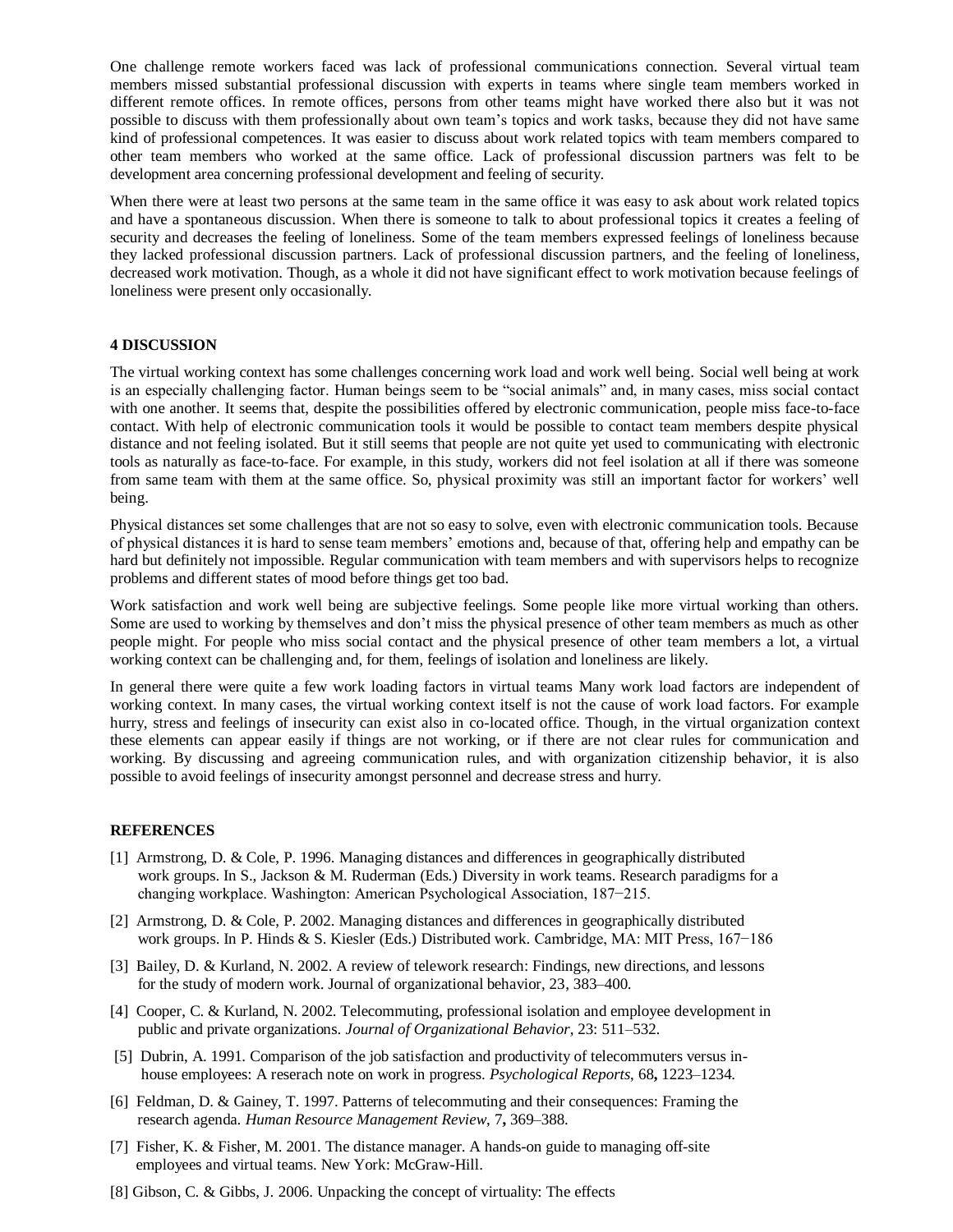One challenge remote workers faced was lack of professional communications connection. Several virtual team members missed substantial professional discussion with experts in teams where single team members worked in different remote offices. In remote offices, persons from other teams might have worked there also but it was not possible to discuss with them professionally about own team's topics and work tasks, because they did not have same kind of professional competences. It was easier to discuss about work related topics with team members compared to other team members who worked at the same office. Lack of professional discussion partners was felt to be development area concerning professional development and feeling of security.

When there were at least two persons at the same team in the same office it was easy to ask about work related topics and have a spontaneous discussion. When there is someone to talk to about professional topics it creates a feeling of security and decreases the feeling of loneliness. Some of the team members expressed feelings of loneliness because they lacked professional discussion partners. Lack of professional discussion partners, and the feeling of loneliness, decreased work motivation. Though, as a whole it did not have significant effect to work motivation because feelings of loneliness were present only occasionally.

#### **4 DISCUSSION**

The virtual working context has some challenges concerning work load and work well being. Social well being at work is an especially challenging factor. Human beings seem to be "social animals" and, in many cases, miss social contact with one another. It seems that, despite the possibilities offered by electronic communication, people miss face-to-face contact. With help of electronic communication tools it would be possible to contact team members despite physical distance and not feeling isolated. But it still seems that people are not quite yet used to communicating with electronic tools as naturally as face-to-face. For example, in this study, workers did not feel isolation at all if there was someone from same team with them at the same office. So, physical proximity was still an important factor for workers' well being.

Physical distances set some challenges that are not so easy to solve, even with electronic communication tools. Because of physical distances it is hard to sense team members' emotions and, because of that, offering help and empathy can be hard but definitely not impossible. Regular communication with team members and with supervisors helps to recognize problems and different states of mood before things get too bad.

Work satisfaction and work well being are subjective feelings. Some people like more virtual working than others. Some are used to working by themselves and don't miss the physical presence of other team members as much as other people might. For people who miss social contact and the physical presence of other team members a lot, a virtual working context can be challenging and, for them, feelings of isolation and loneliness are likely.

In general there were quite a few work loading factors in virtual teams Many work load factors are independent of working context. In many cases, the virtual working context itself is not the cause of work load factors. For example hurry, stress and feelings of insecurity can exist also in co-located office. Though, in the virtual organization context these elements can appear easily if things are not working, or if there are not clear rules for communication and working. By discussing and agreeing communication rules, and with organization citizenship behavior, it is also possible to avoid feelings of insecurity amongst personnel and decrease stress and hurry.

#### **REFERENCES**

- [1] Armstrong, D. & Cole, P. 1996. Managing distances and differences in geographically distributed work groups. In S., Jackson & M. Ruderman (Eds.) Diversity in work teams. Research paradigms for a changing workplace. Washington: American Psychological Association, 187−215.
- [2] Armstrong, D. & Cole, P. 2002. Managing distances and differences in geographically distributed work groups. In P. Hinds & S. Kiesler (Eds.) Distributed work. Cambridge, MA: MIT Press, 167−186
- [3] Bailey, D. & Kurland, N. 2002. A review of telework research: Findings, new directions, and lessons for the study of modern work. Journal of organizational behavior, 23, 383–400.
- [4] Cooper, C. & Kurland, N. 2002. Telecommuting, professional isolation and employee development in public and private organizations. *Journal of Organizational Behavior*, 23: 511–532.
- [5] Dubrin, A. 1991. Comparison of the job satisfaction and productivity of telecommuters versus in house employees: A reserach note on work in progress. *Psychological Reports*, 68**,** 1223–1234.
- [6] Feldman, D. & Gainey, T. 1997. Patterns of telecommuting and their consequences: Framing the research agenda. *Human Resource Management Review*, 7**,** 369–388.
- [7] Fisher, K. & Fisher, M. 2001. The distance manager. A hands-on guide to managing off-site employees and virtual teams. New York: McGraw-Hill.
- [8] Gibson, C. & Gibbs, J. 2006. Unpacking the concept of virtuality: The effects